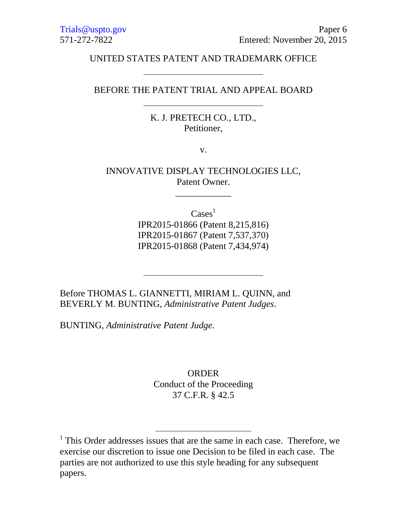### UNITED STATES PATENT AND TRADEMARK OFFICE

# BEFORE THE PATENT TRIAL AND APPEAL BOARD

K. J. PRETECH CO., LTD., Petitioner,

v.

INNOVATIVE DISPLAY TECHNOLOGIES LLC, Patent Owner.

\_\_\_\_\_\_\_\_\_\_\_\_

 $\text{Cases}^1$ 

IPR2015-01866 (Patent 8,215,816) IPR2015-01867 (Patent 7,537,370) IPR2015-01868 (Patent 7,434,974)

Before THOMAS L. GIANNETTI, MIRIAM L. QUINN, and BEVERLY M. BUNTING, *Administrative Patent Judges*.

BUNTING, *Administrative Patent Judge.*

 $\overline{a}$ 

**ORDER** Conduct of the Proceeding 37 C.F.R. § 42.5

<sup>&</sup>lt;sup>1</sup> This Order addresses issues that are the same in each case. Therefore, we exercise our discretion to issue one Decision to be filed in each case. The parties are not authorized to use this style heading for any subsequent papers.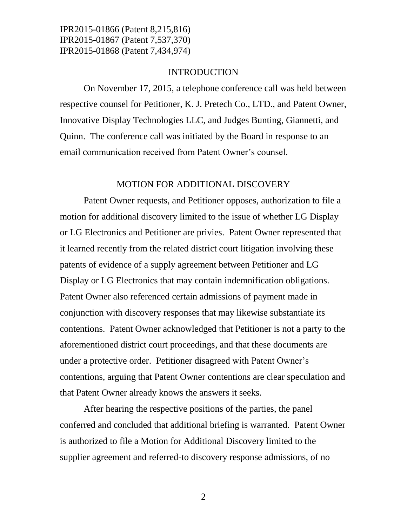### INTRODUCTION

On November 17, 2015, a telephone conference call was held between respective counsel for Petitioner, K. J. Pretech Co., LTD., and Patent Owner, Innovative Display Technologies LLC, and Judges Bunting, Giannetti, and Quinn. The conference call was initiated by the Board in response to an email communication received from Patent Owner's counsel.

#### MOTION FOR ADDITIONAL DISCOVERY

Patent Owner requests, and Petitioner opposes, authorization to file a motion for additional discovery limited to the issue of whether LG Display or LG Electronics and Petitioner are privies. Patent Owner represented that it learned recently from the related district court litigation involving these patents of evidence of a supply agreement between Petitioner and LG Display or LG Electronics that may contain indemnification obligations. Patent Owner also referenced certain admissions of payment made in conjunction with discovery responses that may likewise substantiate its contentions. Patent Owner acknowledged that Petitioner is not a party to the aforementioned district court proceedings, and that these documents are under a protective order. Petitioner disagreed with Patent Owner's contentions, arguing that Patent Owner contentions are clear speculation and that Patent Owner already knows the answers it seeks.

After hearing the respective positions of the parties, the panel conferred and concluded that additional briefing is warranted. Patent Owner is authorized to file a Motion for Additional Discovery limited to the supplier agreement and referred-to discovery response admissions, of no

2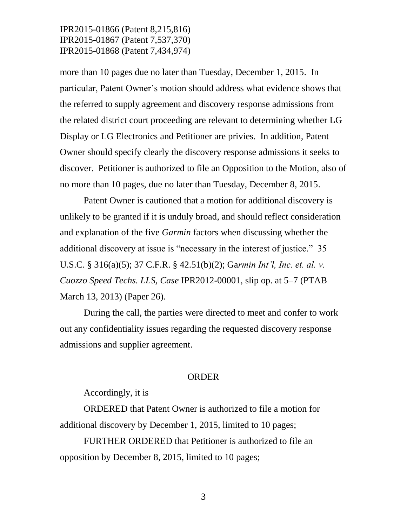more than 10 pages due no later than Tuesday, December 1, 2015. In particular, Patent Owner's motion should address what evidence shows that the referred to supply agreement and discovery response admissions from the related district court proceeding are relevant to determining whether LG Display or LG Electronics and Petitioner are privies. In addition, Patent Owner should specify clearly the discovery response admissions it seeks to discover. Petitioner is authorized to file an Opposition to the Motion, also of no more than 10 pages, due no later than Tuesday, December 8, 2015.

Patent Owner is cautioned that a motion for additional discovery is unlikely to be granted if it is unduly broad, and should reflect consideration and explanation of the five *Garmin* factors when discussing whether the additional discovery at issue is "necessary in the interest of justice." 35 U.S.C. § 316(a)(5); 37 C.F.R. § 42.51(b)(2); Ga*rmin Int'l, Inc. et. al. v. Cuozzo Speed Techs. LLS, Case* IPR2012-00001, slip op. at 5–7 (PTAB March 13, 2013) (Paper 26).

During the call, the parties were directed to meet and confer to work out any confidentiality issues regarding the requested discovery response admissions and supplier agreement.

#### ORDER

Accordingly, it is

ORDERED that Patent Owner is authorized to file a motion for additional discovery by December 1, 2015, limited to 10 pages;

FURTHER ORDERED that Petitioner is authorized to file an opposition by December 8, 2015, limited to 10 pages;

3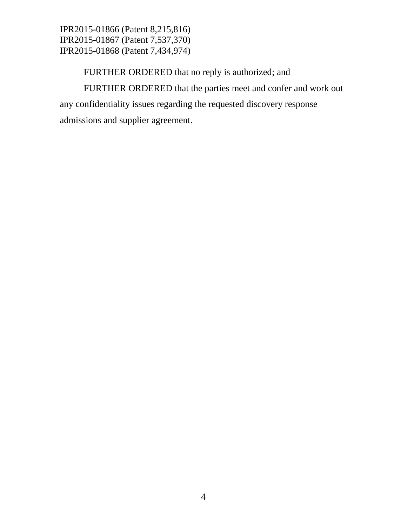FURTHER ORDERED that no reply is authorized; and FURTHER ORDERED that the parties meet and confer and work out any confidentiality issues regarding the requested discovery response admissions and supplier agreement.